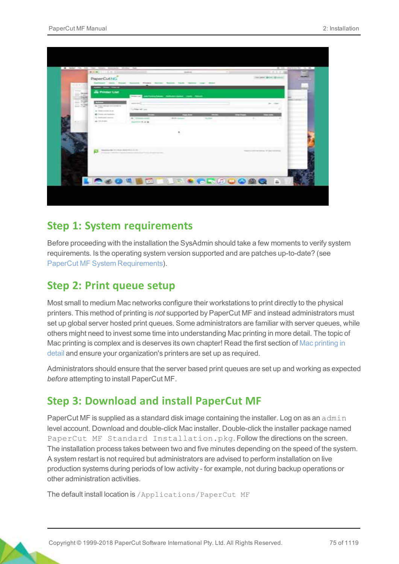|                                                               | <b>RANCH LISTED</b>                                                  |                                             | markets.                                                    | 41.044                      | $-0.5 - 0.3$                     | - |
|---------------------------------------------------------------|----------------------------------------------------------------------|---------------------------------------------|-------------------------------------------------------------|-----------------------------|----------------------------------|---|
|                                                               | PaperCutNG                                                           |                                             | Street Seconds Street Sector Second Carlo Street Lag Street |                             | the part 22 on 22 years.         |   |
| $- - - 1$                                                     | $ -$                                                                 |                                             |                                                             |                             |                                  |   |
| The party of<br>$-$ - locality<br>control of the C<br>$-2444$ | <b>B. Printer List</b>                                               | <b>Production of the</b>                    | McAnnes Advancement Corp. Alexan                            |                             |                                  |   |
| THE R. P. LEWIS<br>- hind<br>Harry 4-246-2                    |                                                                      | supported in                                |                                                             |                             | <b>By Chine</b>                  |   |
| $-200$                                                        | To The Wrighton constitution<br><b>College College</b>               | Little of air                               |                                                             |                             |                                  |   |
|                                                               | at them comes out.<br>ally Contra previouslastics                    |                                             | $-1$                                                        | $\sim$                      | $-1$                             |   |
|                                                               | To make play service.<br>decimation<br>and the state of the state of | ALC: International Assets<br>Superior S-2 & | distribution of                                             | <b>Section</b>              | $\sim$                           |   |
|                                                               |                                                                      |                                             |                                                             |                             |                                  |   |
|                                                               |                                                                      |                                             | ۰.                                                          |                             |                                  |   |
|                                                               |                                                                      |                                             |                                                             |                             |                                  |   |
|                                                               | Therefore the contracts developed and the state                      |                                             |                                                             |                             | Newton Print cases of day works. |   |
|                                                               |                                                                      | <b>COLORADO DE MARCA EL COLORADO DE</b>     |                                                             |                             |                                  |   |
|                                                               |                                                                      |                                             |                                                             |                             |                                  |   |
|                                                               |                                                                      |                                             |                                                             |                             |                                  |   |
|                                                               |                                                                      |                                             |                                                             |                             |                                  |   |
|                                                               |                                                                      |                                             |                                                             | <b>C-04 BDLLP + CROOCAQ</b> | 14                               |   |

### **Step 1: System requirements**

Before proceeding with the installation the SysAdmin should take a few moments to verify system requirements. Is the operating system version supported and are patches up-to-date? (see [PaperCut MF System Requirements](https://www.papercut.com/products/mf/system-requirements/)).

### **Step 2: Print queue setup**

Most small to medium Mac networks configure their workstations to print directly to the physical printers. This method of printing is *not* supported by PaperCut MF and instead administrators must set up global server hosted print queues. Some administrators are familiar with server queues, while others might need to invest some time into understanding Mac printing in more detail. The topic of Mac printing is complex and is deserves its own chapter! Read the first section of [Mac printing in](#page-12-0) [detail](#page-12-0) and ensure your organization's printers are set up as required.

Administrators should ensure that the server based print queues are set up and working as expected *before* attempting to install PaperCut MF.

### **Step 3: Download and install PaperCut MF**

PaperCut MF is supplied as a standard disk image containing the installer. Log on as an admin level account. Download and double-click Mac installer. Double-click the installer package named PaperCut MF Standard Installation.pkg. Follow the directions on the screen. The installation process takes between two and five minutes depending on the speed of the system. A system restart is not required but administrators are advised to perform installation on live production systems during periods of low activity - for example, not during backup operations or other administration activities.

The default install location is /Applications/PaperCut MF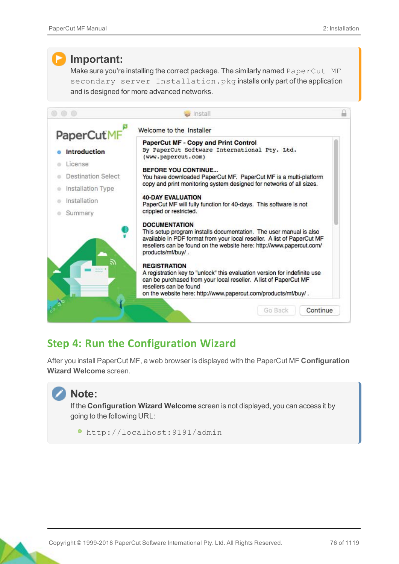### **Important:**

Make sure you're installing the correct package. The similarly named PaperCut MF secondary server Installation.pkg installs only part of the application and is designed for more advanced networks.

| PaperCutMF          | Welcome to the Installer                                                                                                                                                                                                                                           |
|---------------------|--------------------------------------------------------------------------------------------------------------------------------------------------------------------------------------------------------------------------------------------------------------------|
|                     | PaperCut MF - Copy and Print Control                                                                                                                                                                                                                               |
| <b>Introduction</b> | By PaperCut Software International Pty. Ltd.<br>(www.papercut.com)                                                                                                                                                                                                 |
| License             |                                                                                                                                                                                                                                                                    |
| Destination Select  | <b>BEFORE YOU CONTINUE</b><br>You have downloaded PaperCut MF. PaperCut MF is a multi-platform                                                                                                                                                                     |
| Installation Type   | copy and print monitoring system designed for networks of all sizes.                                                                                                                                                                                               |
| Installation        | <b>40-DAY EVALUATION</b><br>PaperCut MF will fully function for 40-days. This software is not                                                                                                                                                                      |
| Summary             | crippled or restricted.                                                                                                                                                                                                                                            |
|                     | <b>DOCUMENTATION</b><br>This setup program installs documentation. The user manual is also<br>available in PDF format from your local reseller. A list of PaperCut MF<br>resellers can be found on the website here: http://www.papercut.com/<br>products/mf/buy/. |
|                     | <b>REGISTRATION</b><br>A registration key to "unlock" this evaluation version for indefinite use<br>can be purchased from your local reseller. A list of PaperCut MF<br>resellers can be found<br>on the website here: http://www.papercut.com/products/mf/buy/.   |

## **Step 4: Run the Configuration Wizard**

After you install PaperCut MF, a web browser is displayed with the PaperCut MF **Configuration Wizard Welcome** screen.

## **Note:**

If the **Configuration Wizard Welcome** screen is not displayed, you can access it by going to the following URL:

http://localhost:9191/admin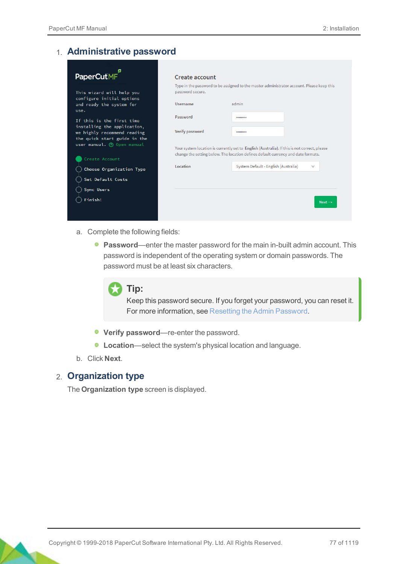#### 1. **Administrative password**

| PaperCutMF                                                  | Create account   |                                                                                                                                                                                   |                    |
|-------------------------------------------------------------|------------------|-----------------------------------------------------------------------------------------------------------------------------------------------------------------------------------|--------------------|
|                                                             |                  | Type in the password to be assigned to the master administrator account. Please keep this                                                                                         |                    |
| This wizard will help you<br>configure initial options      | password secure. |                                                                                                                                                                                   |                    |
| and ready the system for<br>use.                            | Username         | admin                                                                                                                                                                             |                    |
| If this is the first time<br>installing the application,    | Password         |                                                                                                                                                                                   |                    |
| we highly recommend reading<br>the quick start guide in the | Verify password  |                                                                                                                                                                                   |                    |
| user manual. (?) Open manual                                |                  | Your system location is currently set to English (Australia). If this is not correct, please<br>change the setting below. The location defines default currency and date formats. |                    |
| Create Account                                              |                  |                                                                                                                                                                                   |                    |
| Choose Organization Type                                    | Location         | System Default - English (Australia)                                                                                                                                              | $\checkmark$       |
| Set Default Costs                                           |                  |                                                                                                                                                                                   |                    |
| <b>Sync Users</b>                                           |                  |                                                                                                                                                                                   |                    |
| Finish!                                                     |                  |                                                                                                                                                                                   | $Next \rightarrow$ |
|                                                             |                  |                                                                                                                                                                                   |                    |

- a. Complete the following fields:
	- **Password**—enter the master password for the main in-built admin account. This password is independent of the operating system or domain passwords. The password must be at least six characters.



#### **Tip:**

Keep this password secure. If you forget your password, you can reset it. For more information, see [Resetting the Admin Password](http://www.papercut.com/kb/Main/ResettingTheAdminPassword).

- **Verify password**—re-enter the password.
- **Location**—select the system's physical location and language.
- b. Click **Next**.

#### 2. **Organization type**

The **Organization type** screen is displayed.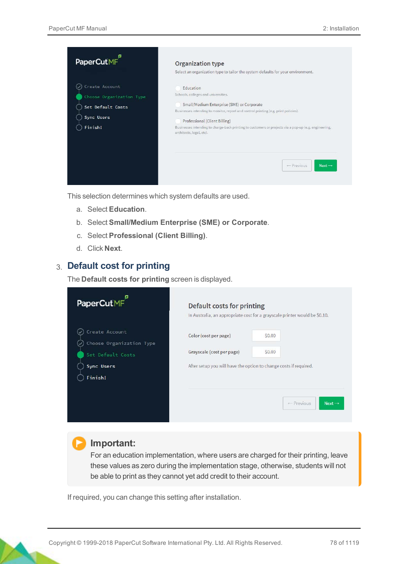

This selection determines which system defaults are used.

- a. Select **Education**.
- b. Select **Small/Medium Enterprise (SME) or Corporate**.
- c. Select **Professional (Client Billing)**.
- d. Click **Next**.

#### 3. **Default cost for printing**

The **Default costs for printing** screen is displayed.

| PaperCutMF                                 | Default costs for printing                                        |                                                                            |
|--------------------------------------------|-------------------------------------------------------------------|----------------------------------------------------------------------------|
|                                            |                                                                   | In Australia, an appropriate cost for a grayscale printer would be \$0.10. |
| Create Account<br>Choose Organization Type | Color (cost per page)                                             | \$0.00                                                                     |
| $\checkmark$<br>Set Default Costs          | Grayscale (cost per page)                                         | \$0.00                                                                     |
| Sync Users                                 | After setup you will have the option to change costs if required. |                                                                            |
| Finish!                                    |                                                                   |                                                                            |
|                                            |                                                                   | ← Previous<br>$Next \rightarrow$                                           |

#### **Important:**

For an education implementation, where users are charged for their printing, leave these values as zero during the implementation stage, otherwise, students will not be able to print as they cannot yet add credit to their account.

If required, you can change this setting after installation.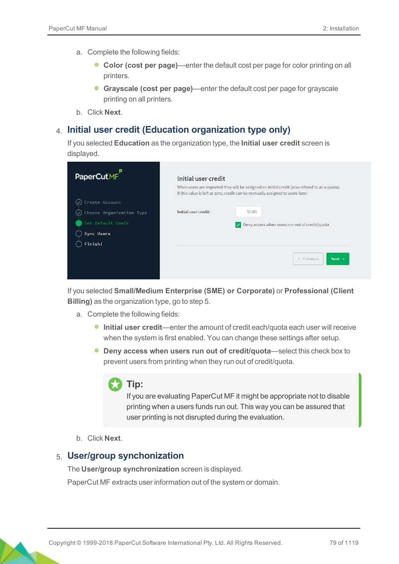- a. Complete the following fields:
	- **Color (cost per page)**—enter the default cost per page for color printing on all printers.
	- **Grayscale (cost per page)**—enter the default cost per page for grayscale printing on all printers.
- b. Click **Next**.

#### 4. **Initial user credit (Education organization type only)**

If you selected **Education** as the organization type, the **Initial user credit** screen is displayed.

| <b>PaperCutMF</b>        | Initial user credit                                                                                                                                                             |                    |
|--------------------------|---------------------------------------------------------------------------------------------------------------------------------------------------------------------------------|--------------------|
|                          | When users are imported they will be assigned an initial credit (also refered to as a quota).<br>If this value is left as zero, credit can be manually assigned to users later. |                    |
| Create Account           |                                                                                                                                                                                 |                    |
| Choose Organization Type | Initial user credit:<br>\$0.00                                                                                                                                                  |                    |
| Set Default Costs        | Deny access when users run out of credit/quota<br>$\checkmark$                                                                                                                  |                    |
| Sync Users               |                                                                                                                                                                                 |                    |
| Finish!                  |                                                                                                                                                                                 |                    |
|                          | - Previous                                                                                                                                                                      | $Next \rightarrow$ |
|                          |                                                                                                                                                                                 |                    |

If you selected **Small/Medium Enterprise (SME) or Corporate)** or **Professional (Client Billing)** as the organization type, go to step 5.

- a. Complete the following fields:
	- **Initial user credit**—enter the amount of credit each/quota each user will receive when the system is first enabled. You can change these settings after setup.
	- **O** Deny access when users run out of credit/quota—select this check box to prevent users from printing when they run out of credit/quota.



If you are evaluating PaperCut MF it might be appropriate not to disable printing when a users funds run out. This way you can be assured that user printing is not disrupted during the evaluation.

b. Click **Next**.

#### 5. **User/group synchonization**

The **User/group synchronization** screen is displayed.

PaperCut MF extracts user information out of the system or domain.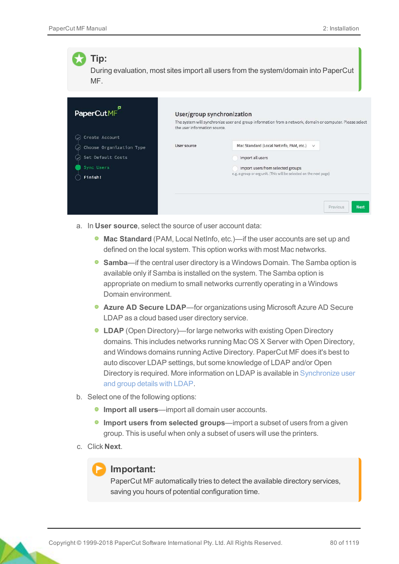

- a. In **User source**, select the source of user account data:
	- **Mac Standard** (PAM, Local NetInfo, etc.)—if the user accounts are set up and defined on the local system. This option works with most Mac networks.
	- **Samba—if the central user directory is a Windows Domain. The Samba option is** available only if Samba is installed on the system. The Samba option is appropriate on medium to small networks currently operating in a Windows Domain environment.
	- **Azure AD Secure LDAP**—for organizations using Microsoft Azure AD Secure LDAP as a cloud based user directory service.
	- **LDAP** (Open Directory)—for large networks with existing Open Directory domains. This includes networks running Mac OS X Server with Open Directory, and Windows domains running Active Directory. PaperCut MF does it's best to auto discover LDAP settings, but some knowledge of LDAP and/or Open Directory is required. More information on LDAP is available in Synchronize user and group details with LDAP.
- b. Select one of the following options:
	- **Import all users**—import all domain user accounts.
	- **Import users from selected groups—import a subset of users from a given** group. This is useful when only a subset of users will use the printers.
- c. Click **Next**.

#### **Important:**

PaperCut MF automatically tries to detect the available directory services, saving you hours of potential configuration time.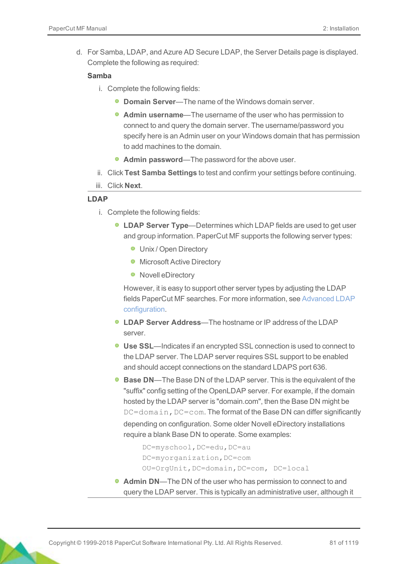d. For Samba, LDAP, and Azure AD Secure LDAP, the Server Details page is displayed. Complete the following as required:

#### **Samba**

- i. Complete the following fields:
	- **Domain Server**—The name of the Windows domain server.
	- **Admin username**—The username of the user who has permission to connect to and query the domain server. The username/password you specify here is an Admin user on your Windows domain that has permission to add machines to the domain.
	- **Admin password**—The password for the above user.
- ii. Click **Test Samba Settings** to test and confirm your settings before continuing.
- iii. Click **Next**.

#### **LDAP**

- i. Complete the following fields:
	- **LDAP Server Type**—Determines which LDAP fields are used to get user and group information. PaperCut MF supports the following server types:
		- **Unix / Open Directory**
		- **Microsoft Active Directory**
		- Novell eDirectory

However, it is easy to support other server types by adjusting the LDAP fields PaperCut MF searches. For more information, see Advanced LDAP configuration.

- **LDAP Server Address**—The hostname or IP address of the LDAP server.
- **Use SSL**—Indicates if an encrypted SSL connection is used to connect to the LDAP server. The LDAP server requires SSL support to be enabled and should accept connections on the standard LDAPS port 636.
- **Base DN—The Base DN of the LDAP server. This is the equivalent of the** "suffix" config setting of the OpenLDAP server. For example, if the domain hosted by the LDAP server is "domain.com", then the Base DN might be  $DC=$ domain,  $DC=$ com. The format of the Base DN can differ significantly depending on configuration. Some older Novell eDirectory installations require a blank Base DN to operate. Some examples:

```
DC=myschool, DC=edu, DC=au
DC=myorganization,DC=com
OU=OrgUnit,DC=domain,DC=com, DC=local
```
**Admin DN**—The DN of the user who has permission to connect to and query the LDAP server. This is typically an administrative user, although it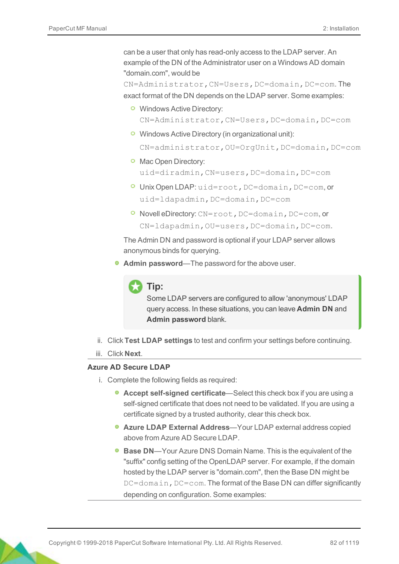can be a user that only has read-only access to the LDAP server. An example of the DN of the Administrator user on a Windows AD domain "domain.com", would be

CN=Administrator,CN=Users,DC=domain,DC=com. The exact format of the DN depends on the LDAP server. Some examples:

- **O** Windows Active Directory: CN=Administrator,CN=Users,DC=domain,DC=com
- **O** Windows Active Directory (in organizational unit):

CN=administrator,OU=OrgUnit,DC=domain,DC=com

- **O** Mac Open Directory: uid=diradmin,CN=users,DC=domain,DC=com
- **O** Unix Open LDAP: uid=root, DC=domain, DC=com, or uid=ldapadmin,DC=domain,DC=com
- **O** Novell eDirectory: CN=root, DC=domain, DC=com, or CN=ldapadmin,OU=users,DC=domain,DC=com.

The Admin DN and password is optional if your LDAP server allows anonymous binds for querying.

**Admin password**—The password for the above user.



**Tip:**

Some LDAP servers are configured to allow 'anonymous' LDAP query access. In these situations, you can leave **Admin DN** and **Admin password** blank.

- ii. Click **Test LDAP settings** to test and confirm your settings before continuing.
- iii. Click **Next**.

#### **Azure AD Secure LDAP**

- i. Complete the following fields as required:
	- **Accept self-signed certificate**—Select this check box if you are using a self-signed certificate that does not need to be validated. If you are using a certificate signed by a trusted authority, clear this check box.
	- **Azure LDAP External Address**—Your LDAP external address copied above from Azure AD Secure LDAP.
	- **Base DN**—Your Azure DNS Domain Name. This is the equivalent of the "suffix" config setting of the OpenLDAP server. For example, if the domain hosted by the LDAP server is "domain.com", then the Base DN might be  $DC=$ domain,  $DC=$ com. The format of the Base DN can differ significantly depending on configuration. Some examples: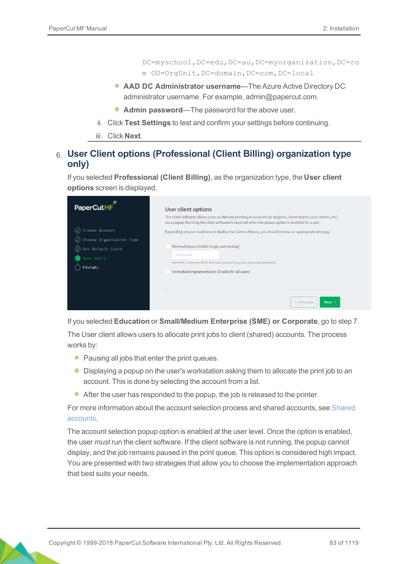DC=myschool,DC=edu,DC=au,DC=myorganization,DC=co m OU=OrgUnit,DC=domain,DC=com,DC=local

- **AAD DC Administrator username**—The Azure Active Directory DC administrator username. For example, admin@papercut.com.
- **Admin password**—The password for the above user.
- ii. Click **Test Settings** to test and confirm your settings before continuing.
- iii. Click **Next**.

#### 6. **User Client options (Professional (Client Billing) organization type only)**

If you selected **Professional (Client Billing)**, as the organization type, the **User client options** screen is displayed.

| <b>PaperCutMF</b>                                                      | User client options                                                                                                                                                                                                    |
|------------------------------------------------------------------------|------------------------------------------------------------------------------------------------------------------------------------------------------------------------------------------------------------------------|
|                                                                        | The client software allows users to allocate printing to accounts (or projects, client matter, cost-centers, etc)<br>via a popup. Running the client software is required when the popup option is enabled for a user. |
| Create Account<br>$(\checkmark)$                                       | Depending on your readiness to deploy the client software, you should choose an appropriate strategy:                                                                                                                  |
| Choose Organization Type<br>Set Default Costs<br>Sync Users<br>Finish! | Minimal impact (Initial single user testing)<br>Username<br>Enter the username of the test user account (e.g. your personal username)<br>Immediate implementation (Enable for all users)                               |
|                                                                        | - Previous<br>$Next \rightarrow$                                                                                                                                                                                       |

If you selected **Education** or **Small/Medium Enterprise (SME) or Corporate**, go to step 7.

The User client allows users to allocate print jobs to client (shared) accounts. The process works by:

- Pausing all jobs that enter the print queues.
- **•** Displaying a popup on the user's workstation asking them to allocate the print job to an account. This is done by selecting the account from a list.
- After the user has responded to the popup, the job is released to the printer.

For more information about the account selection process and shared accounts, see Shared accounts.

The account selection popup option is enabled at the user level. Once the option is enabled, the user *must* run the client software. If the client software is not running, the popup cannot display, and the job remains paused in the print queue. This option is considered high impact. You are presented with two strategies that allow you to choose the implementation approach that best suits your needs.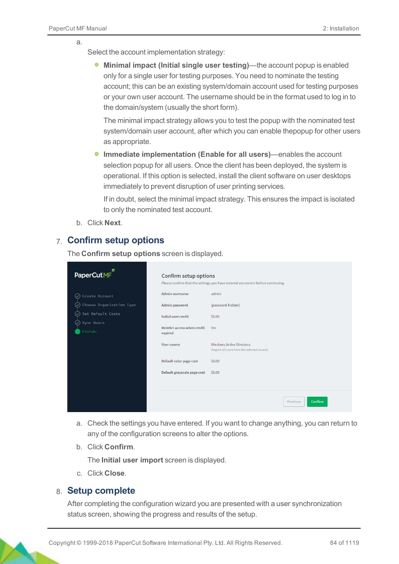a.

Select the account implementation strategy:

**Minimal impact (Initial single user testing)**—the account popup is enabled only for a single user for testing purposes. You need to nominate the testing account; this can be an existing system/domain account used for testing purposes or your own user account. The username should be in the format used to log in to the domain/system (usually the short form).

The minimal impact strategy allows you to test the popup with the nominated test system/domain user account, after which you can enable thepopup for other users as appropriate.

**Immediate implementation (Enable for all users)**—enables the account selection popup for all users. Once the client has been deployed, the system is operational. If this option is selected, install the client software on user desktops immediately to prevent disruption of user printing services.

If in doubt, select the minimal impact strategy. This ensures the impact is isolated to only the nominated test account.

b. Click **Next**.

#### 7. **Confirm setup options**

The **Confirm setup options** screen is displayed.

| PaperCutMF                       | Confirm setup options                  |                                                                                  |
|----------------------------------|----------------------------------------|----------------------------------------------------------------------------------|
|                                  |                                        | Please confirm that the settings you have entered are correct before continuing. |
| Create Account<br>$(\checkmark)$ | Admin username                         | admin                                                                            |
| Choose Organization Type         | Admin password                         | (password hidden)                                                                |
| Set Default Costs                | Initial user credit                    | \$0.00                                                                           |
| Sync Users                       |                                        |                                                                                  |
| Finish!                          | Restrict access when credit<br>expired | Yes                                                                              |
|                                  | User source                            | <b>Windows Active Directory</b><br>(Import all users from the selected source)   |
|                                  | Default color page cost                | \$0.00                                                                           |
|                                  | Default grayscale page cost            | \$0,00                                                                           |
|                                  |                                        |                                                                                  |
|                                  |                                        | Confirm<br>Previous                                                              |

- a. Check the settings you have entered. If you want to change anything, you can return to any of the configuration screens to alter the options.
- b. Click **Confirm**.

The **Initial user import** screen is displayed.

c. Click **Close**.

#### 8. **Setup complete**

After completing the configuration wizard you are presented with a user synchronization status screen, showing the progress and results of the setup.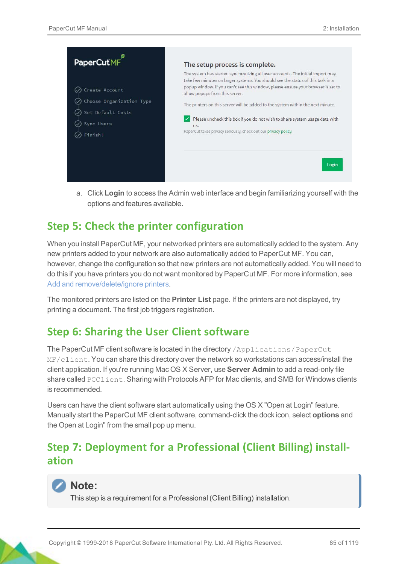

a. Click **Login** to access the Admin web interface and begin familiarizing yourself with the options and features available.

### **Step 5: Check the printer configuration**

When you install PaperCut MF, your networked printers are automatically added to the system. Any new printers added to your network are also automatically added to PaperCut MF. You can, however, change the configuration so that new printers are not automatically added. You will need to do this if you have printers you do not want monitored by PaperCut MF. For more information, see Add and remove/delete/ignore printers.

The monitored printers are listed on the **Printer List** page. If the printers are not displayed, try printing a document. The first job triggers registration.

### **Step 6: Sharing the User Client software**

The PaperCut MF client software is located in the directory /Applications/PaperCut MF/client. You can share this directory over the network so workstations can access/install the client application. If you're running Mac OS X Server, use **Server Admin** to add a read-only file share called PCClient. Sharing with Protocols AFP for Mac clients, and SMB for Windows clients is recommended.

Users can have the client software start automatically using the OS X "Open at Login" feature. Manually start the PaperCut MF client software, command-click the dock icon, select **options** and the Open at Login" from the small pop up menu.

## **Step 7: Deployment for a Professional (Client Billing) installation**



#### **Note:**

This step is a requirement for a Professional (Client Billing) installation.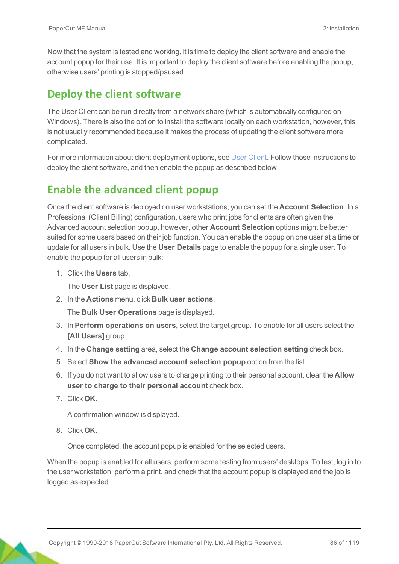Now that the system is tested and working, it is time to deploy the client software and enable the account popup for their use. It is important to deploy the client software before enabling the popup, otherwise users' printing is stopped/paused.

### **Deploy the client software**

The User Client can be run directly from a network share (which is automatically configured on Windows). There is also the option to install the software locally on each workstation, however, this is not usually recommended because it makes the process of updating the client software more complicated.

For more information about client deployment options, see User Client. Follow those instructions to deploy the client software, and then enable the popup as described below.

### **Enable the advanced client popup**

Once the client software is deployed on user workstations, you can set the **Account Selection**. In a Professional (Client Billing) configuration, users who print jobs for clients are often given the Advanced account selection popup, however, other **Account Selection** options might be better suited for some users based on their job function. You can enable the popup on one user at a time or update for all users in bulk. Use the **User Details** page to enable the popup for a single user. To enable the popup for all users in bulk:

1. Click the **Users** tab.

The **User List** page is displayed.

2. In the **Actions** menu, click **Bulk user actions**.

The **Bulk User Operations** page is displayed.

- 3. In **Perform operations on users**, select the target group. To enable for all users select the **[All Users]** group.
- 4. In the **Change setting** area, select the **Change account selection setting** check box.
- 5. Select **Show the advanced account selection popup** option from the list.
- 6. If you do not want to allow users to charge printing to their personal account, clear the **Allow user to charge to their personal account** check box.
- 7. Click **OK**.

A confirmation window is displayed.

8. Click **OK**.

Once completed, the account popup is enabled for the selected users.

When the popup is enabled for all users, perform some testing from users' desktops. To test, log in to the user workstation, perform a print, and check that the account popup is displayed and the job is logged as expected.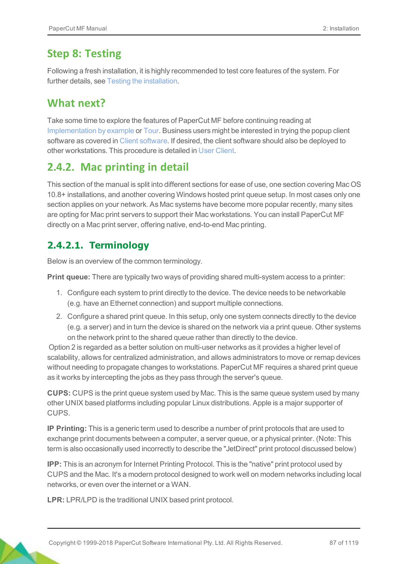## **Step 8: Testing**

Following a fresh installation, it is highly recommended to test core features of the system. For further details, see Testing the installation.

## **What next?**

Take some time to explore the features of PaperCut MF before continuing reading at Implementation by example or Tour. Business users might be interested in trying the popup client software as covered in Client software. If desired, the client software should also be deployed to other workstations. This procedure is detailed in User Client.

## <span id="page-12-0"></span>**2.4.2. Mac printing in detail**

This section of the manual is split into different sections for ease of use, one section covering Mac OS 10.8+ installations, and another covering Windows hosted print queue setup. In most cases only one section applies on your network. As Mac systems have become more popular recently, many sites are opting for Mac print servers to support their Mac workstations. You can install PaperCut MF directly on a Mac print server, offering native, end-to-end Mac printing.

## **2.4.2.1. Terminology**

Below is an overview of the common terminology.

**Print queue:** There are typically two ways of providing shared multi-system access to a printer:

- 1. Configure each system to print directly to the device. The device needs to be networkable (e.g. have an Ethernet connection) and support multiple connections.
- 2. Configure a shared print queue. In this setup, only one system connects directly to the device (e.g. a server) and in turn the device is shared on the network via a print queue. Other systems on the network print to the shared queue rather than directly to the device.

Option 2 is regarded as a better solution on multi-user networks as it provides a higher level of scalability, allows for centralized administration, and allows administrators to move or remap devices without needing to propagate changes to workstations. PaperCut MF requires a shared print queue as it works by intercepting the jobs as they pass through the server's queue.

**CUPS:** CUPS is the print queue system used by Mac. This is the same queue system used by many other UNIX based platforms including popular Linux distributions. Apple is a major supporter of CUPS.

**IP Printing:** This is a generic term used to describe a number of print protocols that are used to exchange print documents between a computer, a server queue, or a physical printer. (Note: This term is also occasionally used incorrectly to describe the "JetDirect" print protocol discussed below)

**IPP:** This is an acronym for Internet Printing Protocol. This is the "native" print protocol used by CUPS and the Mac. It's a modern protocol designed to work well on modern networks including local networks, or even over the internet or a WAN.

**LPR:** LPR/LPD is the traditional UNIX based print protocol.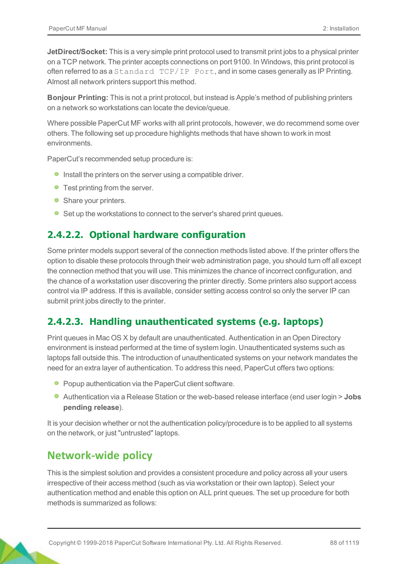**JetDirect/Socket:** This is a very simple print protocol used to transmit print jobs to a physical printer on a TCP network. The printer accepts connections on port 9100. In Windows, this print protocol is often referred to as a Standard TCP/IP Port, and in some cases generally as IP Printing. Almost all network printers support this method.

**Bonjour Printing:** This is not a print protocol, but instead is Apple's method of publishing printers on a network so workstations can locate the device/queue.

Where possible PaperCut MF works with all print protocols, however, we do recommend some over others. The following set up procedure highlights methods that have shown to work in most environments.

PaperCut's recommended setup procedure is:

- **Install the printers on the server using a compatible driver.**
- Test printing from the server.
- Share your printers.
- Set up the workstations to connect to the server's shared print queues.

#### **2.4.2.2. Optional hardware configuration**

Some printer models support several of the connection methods listed above. If the printer offers the option to disable these protocols through their web administration page, you should turn off all except the connection method that you will use. This minimizes the chance of incorrect configuration, and the chance of a workstation user discovering the printer directly. Some printers also support access control via IP address. If this is available, consider setting access control so only the server IP can submit print jobs directly to the printer.

#### **2.4.2.3. Handling unauthenticated systems (e.g. laptops)**

Print queues in Mac OS X by default are unauthenticated. Authentication in an Open Directory environment is instead performed at the time of system login. Unauthenticated systems such as laptops fall outside this. The introduction of unauthenticated systems on your network mandates the need for an extra layer of authentication. To address this need, PaperCut offers two options:

- Popup authentication via the PaperCut client software.
- Authentication via a Release Station or the web-based release interface (end user login > **Jobs pending release**).

It is your decision whether or not the authentication policy/procedure is to be applied to all systems on the network, or just "untrusted" laptops.

### **Network-wide policy**

This is the simplest solution and provides a consistent procedure and policy across all your users irrespective of their access method (such as via workstation or their own laptop). Select your authentication method and enable this option on ALL print queues. The set up procedure for both methods is summarized as follows: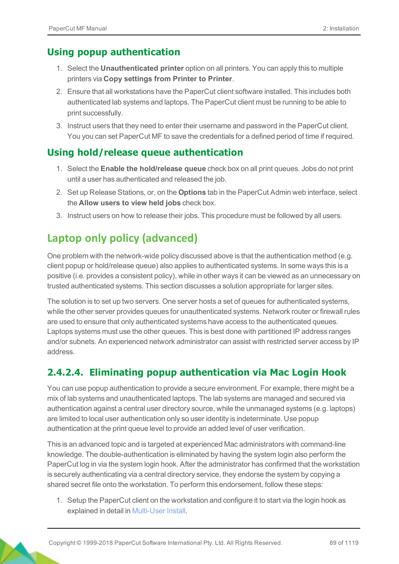#### **Using popup authentication**

- 1. Select the **Unauthenticated printer** option on all printers. You can apply this to multiple printers via **Copy settings from Printer to Printer**.
- 2. Ensure that all workstations have the PaperCut client software installed. This includes both authenticated lab systems and laptops. The PaperCut client must be running to be able to print successfully.
- 3. Instruct users that they need to enter their username and password in the PaperCut client. You you can set PaperCut MF to save the credentials for a defined period of time if required.

#### **Using hold/release queue authentication**

- 1. Select the **Enable the hold/release queue** check box on all print queues. Jobs do not print until a user has authenticated and released the job.
- 2. Set up Release Stations, or, on the **Options** tab in the PaperCut Admin web interface, select the **Allow users to view held jobs** check box.
- 3. Instruct users on how to release their jobs. This procedure must be followed by all users.

## **Laptop only policy (advanced)**

One problem with the network-wide policy discussed above is that the authentication method (e.g. client popup or hold/release queue) also applies to authenticated systems. In some ways this is a positive (i.e. provides a consistent policy), while in other ways it can be viewed as an unnecessary on trusted authenticated systems. This section discusses a solution appropriate for larger sites.

The solution is to set up two servers. One server hosts a set of queues for authenticated systems, while the other server provides queues for unauthenticated systems. Network router or firewall rules are used to ensure that only authenticated systems have access to the authenticated queues. Laptops systems must use the other queues. This is best done with partitioned IP address ranges and/or subnets. An experienced network administrator can assist with restricted server access by IP address.

#### **2.4.2.4. Eliminating popup authentication via Mac Login Hook**

You can use popup authentication to provide a secure environment. For example, there might be a mix of lab systems and unauthenticated laptops. The lab systems are managed and secured via authentication against a central user directory source, while the unmanaged systems (e.g. laptops) are limited to local user authentication only so user identity is indeterminate. Use popup authentication at the print queue level to provide an added level of user verification.

This is an advanced topic and is targeted at experienced Mac administrators with command-line knowledge. The double-authentication is eliminated by having the system login also perform the PaperCut log in via the system login hook. After the administrator has confirmed that the workstation is securely authenticating via a central directory service, they endorse the system by copying a shared secret file onto the workstation. To perform this endorsement, follow these steps:

1. Setup the PaperCut client on the workstation and configure it to start via the login hook as explained in detail in Multi-User Install.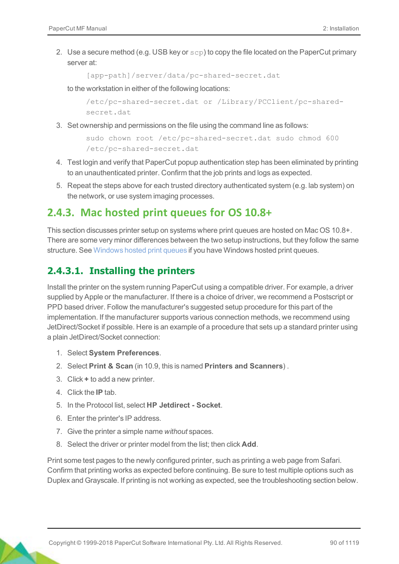2. Use a secure method (e.g. USB key or  $\text{sep}$ ) to copy the file located on the PaperCut primary server at:

```
[app-path]/server/data/pc-shared-secret.dat
```
to the workstation in either of the following locations:

```
/etc/pc-shared-secret.dat or /Library/PCClient/pc-shared-
secret.dat
```
3. Set ownership and permissions on the file using the command line as follows:

```
sudo chown root /etc/pc-shared-secret.dat sudo chmod 600
/etc/pc-shared-secret.dat
```
- 4. Test login and verify that PaperCut popup authentication step has been eliminated by printing to an unauthenticated printer. Confirm that the job prints and logs as expected.
- 5. Repeat the steps above for each trusted directory authenticated system (e.g. lab system) on the network, or use system imaging processes.

### <span id="page-15-0"></span>**2.4.3. Mac hosted print queues for OS 10.8+**

This section discusses printer setup on systems where print queues are hosted on Mac OS 10.8+. There are some very minor differences between the two setup instructions, but they follow the same structure. See [Windows hosted print queues](#page-19-0) if you have Windows hosted print queues.

#### **2.4.3.1. Installing the printers**

Install the printer on the system running PaperCut using a compatible driver. For example, a driver supplied by Apple or the manufacturer. If there is a choice of driver, we recommend a Postscript or PPD based driver. Follow the manufacturer's suggested setup procedure for this part of the implementation. If the manufacturer supports various connection methods, we recommend using JetDirect/Socket if possible. Here is an example of a procedure that sets up a standard printer using a plain JetDirect/Socket connection:

- 1. Select **System Preferences**.
- 2. Select **Print & Scan** (in 10.9, this is named **Printers and Scanners**) .
- 3. Click **+** to add a new printer.
- 4. Click the **IP** tab.
- 5. In the Protocol list, select **HP Jetdirect Socket**.
- 6. Enter the printer's IP address.
- 7. Give the printer a simple name *without* spaces.
- 8. Select the driver or printer model from the list; then click **Add**.

Print some test pages to the newly configured printer, such as printing a web page from Safari. Confirm that printing works as expected before continuing. Be sure to test multiple options such as Duplex and Grayscale. If printing is not working as expected, see the troubleshooting section below.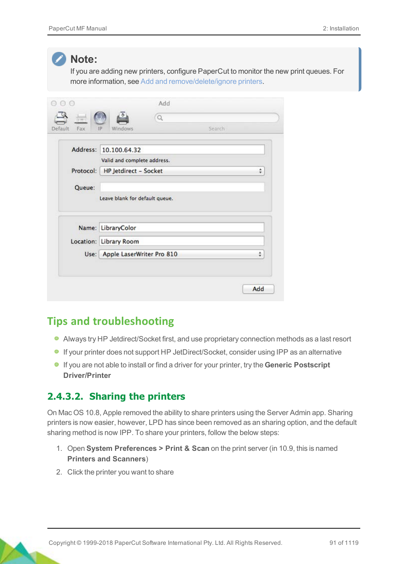

#### **Note:**

If you are adding new printers, configure PaperCut to monitor the new print queues. For more information, see Add and remove/delete/ignore printers.

| $\overline{u}$<br>Default | $\alpha$                       | Search |   |
|---------------------------|--------------------------------|--------|---|
| Fax                       | Windows<br>IP                  |        |   |
|                           | Address: 10.100.64.32          |        |   |
|                           | Valid and complete address.    |        |   |
| Protocol:                 | HP Jetdirect - Socket          |        | ÷ |
| Queue:                    |                                |        |   |
|                           | Leave blank for default queue. |        |   |
|                           | Name: LibraryColor             |        |   |
|                           | Location: Library Room         |        |   |
| Use:                      | Apple LaserWriter Pro 810      |        | ÷ |
|                           |                                |        |   |

### **Tips and troubleshooting**

- Always try HP Jetdirect/Socket first, and use proprietary connection methods as a last resort
- If your printer does not support HP JetDirect/Socket, consider using IPP as an alternative
- If you are not able to install or find a driver for your printer, try the **Generic Postscript Driver/Printer**

#### **2.4.3.2. Sharing the printers**

On Mac OS 10.8, Apple removed the ability to share printers using the Server Admin app. Sharing printers is now easier, however, LPD has since been removed as an sharing option, and the default sharing method is now IPP. To share your printers, follow the below steps:

- 1. Open **System Preferences > Print & Scan** on the print server (in 10.9, this is named **Printers and Scanners**)
- 2. Click the printer you want to share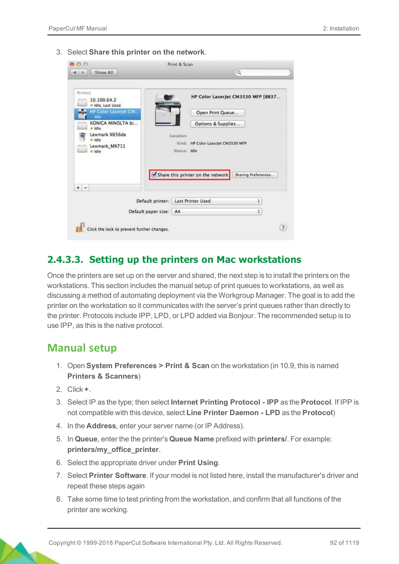3. Select **Share this printer on the network**.

| 000<br>Show All<br>Þ                                                                                                                                                             |                        | Print & Scan                                                                                                                                   | $\mathsf Q$                                               |                |
|----------------------------------------------------------------------------------------------------------------------------------------------------------------------------------|------------------------|------------------------------------------------------------------------------------------------------------------------------------------------|-----------------------------------------------------------|----------------|
| Printers<br>10.100.64.2<br>· Idle, Last Used<br><b>HP Color LaserJet CM</b><br>a Idle<br>KONICA MINOLTA bi<br>E<br>o Idle<br>Lexmark X656de<br>e idie<br>Lexmark_MX711<br>o Idle |                        | Open Print Queue<br>Options & Supplies<br>Location:<br>Kind: HP Color LaserJet CM3530 MFP<br>Status: Idle<br>Share this printer on the network | HP Color LaserJet CM3530 MFP [8B37<br>Sharing Preferences |                |
| ÷<br>$\sim$                                                                                                                                                                      |                        |                                                                                                                                                |                                                           |                |
|                                                                                                                                                                                  |                        | Default printer:   Last Printer Used                                                                                                           | ÷                                                         |                |
|                                                                                                                                                                                  | Default paper size: A4 |                                                                                                                                                | ÷                                                         |                |
| Click the lock to prevent further changes.                                                                                                                                       |                        |                                                                                                                                                |                                                           | $\overline{z}$ |

#### **2.4.3.3. Setting up the printers on Mac workstations**

Once the printers are set up on the server and shared, the next step is to install the printers on the workstations. This section includes the manual setup of print queues to workstations, as well as discussing a method of automating deployment via the Workgroup Manager. The goal is to add the printer on the workstation so it communicates with the server's print queues rather than directly to the printer. Protocols include IPP, LPD, or LPD added via Bonjour. The recommended setup is to use IPP, as this is the native protocol.

#### **Manual setup**

- 1. Open **System Preferences > Print & Scan** on the workstation (in 10.9, this is named **Printers & Scanners**)
- 2. Click **+**.
- 3. Select IP as the type; then select **Internet Printing Protocol IPP** as the **Protocol**. If IPP is not compatible with this device, select **Line Printer Daemon - LPD** as the **Protocol**)
- 4. In the **Address**, enter your server name (or IP Address).
- 5. In **Queue**, enter the the printer's **Queue Name** prefixed with **printers/**. For example: **printers/my\_office\_printer**.
- 6. Select the appropriate driver under **Print Using**.
- 7. Select **Printer Software**. If your model is not listed here, install the manufacturer's driver and repeat these steps again
- 8. Take some time to test printing from the workstation, and confirm that all functions of the printer are working.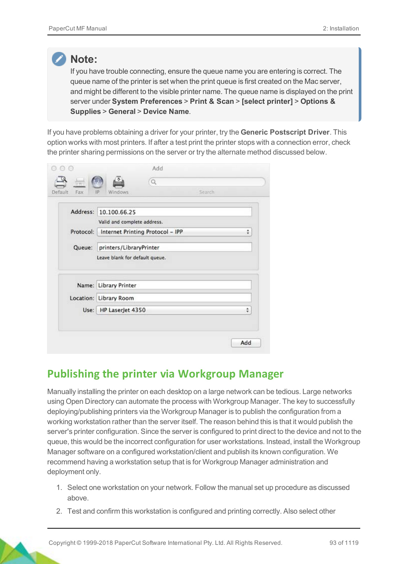#### **Note:**

If you have trouble connecting, ensure the queue name you are entering is correct. The queue name of the printer is set when the print queue is first created on the Mac server, and might be different to the visible printer name. The queue name is displayed on the print server under **System Preferences** > **Print & Scan** > **[select printer]** > **Options & Supplies** > **General** > **Device Name**.

If you have problems obtaining a driver for your printer, try the **Generic Postscript Driver**. This option works with most printers. If after a test print the printer stops with a connection error, check the printer sharing permissions on the server or try the alternate method discussed below.

| Default<br>Fax | Q<br>Search<br>IP<br>Windows     |   |
|----------------|----------------------------------|---|
|                |                                  |   |
| Address:       | 10.100.66.25                     |   |
|                | Valid and complete address.      |   |
| Protocol:      | Internet Printing Protocol - IPP | ÷ |
| Queue:         | printers/LibraryPrinter          |   |
|                | Leave blank for default queue.   |   |
|                |                                  |   |
|                | Name: Library Printer            |   |
|                | Location: Library Room           |   |
|                |                                  | ٥ |
| Use:           | HP LaserJet 4350                 |   |
|                |                                  |   |

## **Publishing the printer via Workgroup Manager**

Manually installing the printer on each desktop on a large network can be tedious. Large networks using Open Directory can automate the process with Workgroup Manager. The key to successfully deploying/publishing printers via the Workgroup Manager is to publish the configuration from a working workstation rather than the server itself. The reason behind this is that it would publish the server's printer configuration. Since the server is configured to print direct to the device and not to the queue, this would be the incorrect configuration for user workstations. Instead, install the Workgroup Manager software on a configured workstation/client and publish its known configuration. We recommend having a workstation setup that is for Workgroup Manager administration and deployment only.

- 1. Select one workstation on your network. Follow the manual set up procedure as discussed above.
- 2. Test and confirm this workstation is configured and printing correctly. Also select other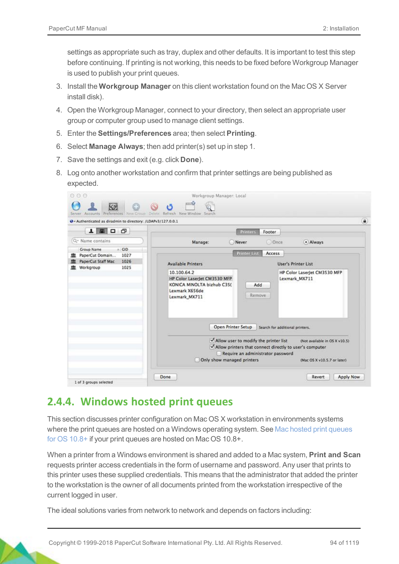settings as appropriate such as tray, duplex and other defaults. It is important to test this step before continuing. If printing is not working, this needs to be fixed before Workgroup Manager is used to publish your print queues.

- 3. Install the **Workgroup Manager** on this client workstation found on the Mac OS X Server install disk).
- 4. Open the Workgroup Manager, connect to your directory, then select an appropriate user group or computer group used to manage client settings.
- 5. Enter the **Settings/Preferences** area; then select **Printing**.
- 6. Select **Manage Always**; then add printer(s) set up in step 1.
- 7. Save the settings and exit (e.g. click **Done**).
- 8. Log onto another workstation and confirm that printer settings are being published as expected.

| + Authenticated as diradmin to directory: /LDAPv3/127.0.0.1 |                                                                                                                                                                                                                                                                                              |
|-------------------------------------------------------------|----------------------------------------------------------------------------------------------------------------------------------------------------------------------------------------------------------------------------------------------------------------------------------------------|
| 上里口口                                                        | <b>Printers</b><br>Footer                                                                                                                                                                                                                                                                    |
| Q- Name contains                                            | <b>O</b> Once<br>· Always<br>Manage:<br><b>Never</b>                                                                                                                                                                                                                                         |
| $\triangle$ CID<br>Group Name                               |                                                                                                                                                                                                                                                                                              |
| PaperCut Domain<br>1027                                     | <b>Printer List</b><br>Access                                                                                                                                                                                                                                                                |
| PaperCut Staff Mac<br>1026<br>1025<br>Workgroup             | <b>Available Printers</b><br><b>User's Printer List</b>                                                                                                                                                                                                                                      |
|                                                             | HP Color LaserJet CM3530 MFP<br>Lexmark MX711<br>KONICA MINOLTA bizhub C35(<br>Add<br>Lexmark X656de<br>Remove<br>Lexmark_MX711                                                                                                                                                              |
|                                                             | Open Printer Setup<br>Search for additional printers.<br>Allow user to modify the printer list<br>(Not available in OS X v10.5)<br>Allow printers that connect directly to user's computer<br>Require an administrator password<br>Only show managed printers<br>(Mac OS X v10.5.7 or later) |

### <span id="page-19-0"></span>**2.4.4. Windows hosted print queues**

This section discusses printer configuration on Mac OS X workstation in environments systems where the print queues are hosted on a Windows operating system. See [Mac hosted print queues](#page-15-0) [for OS 10.8+](#page-15-0) if your print queues are hosted on Mac OS 10.8+.

When a printer from a Windows environment is shared and added to a Mac system, **Print and Scan** requests printer access credentials in the form of username and password. Any user that prints to this printer uses these supplied credentials. This means that the administrator that added the printer to the workstation is the owner of all documents printed from the workstation irrespective of the current logged in user.

The ideal solutions varies from network to network and depends on factors including: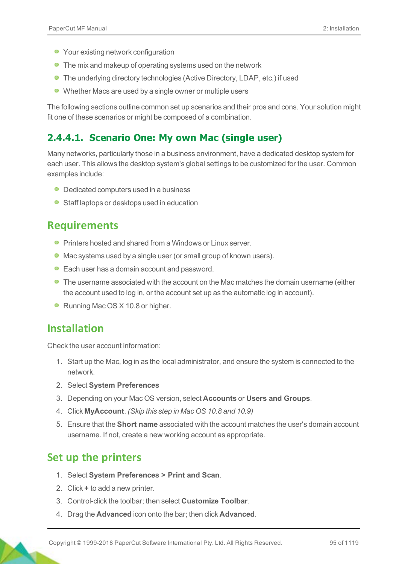- Your existing network configuration
- The mix and makeup of operating systems used on the network
- The underlying directory technologies (Active Directory, LDAP, etc.) if used
- Whether Macs are used by a single owner or multiple users

The following sections outline common set up scenarios and their pros and cons. Your solution might fit one of these scenarios or might be composed of a combination.

#### **2.4.4.1. Scenario One: My own Mac (single user)**

Many networks, particularly those in a business environment, have a dedicated desktop system for each user. This allows the desktop system's global settings to be customized for the user. Common examples include:

- Dedicated computers used in a business
- Staff laptops or desktops used in education

### **Requirements**

- **Printers hosted and shared from a Windows or Linux server.**
- Mac systems used by a single user (or small group of known users).
- Each user has a domain account and password.
- **The username associated with the account on the Mac matches the domain username (either** the account used to log in, or the account set up as the automatic log in account).
- Running Mac OS X 10.8 or higher.

#### **Installation**

Check the user account information:

- 1. Start up the Mac, log in as the local administrator, and ensure the system is connected to the network.
- 2. Select **System Preferences**
- 3. Depending on your Mac OS version, select **Accounts** or **Users and Groups**.
- 4. Click **MyAccount**. *(Skip this step in Mac OS 10.8 and 10.9)*
- 5. Ensure that the **Short name** associated with the account matches the user's domain account username. If not, create a new working account as appropriate.

### **Set up the printers**

- 1. Select **System Preferences > Print and Scan**.
- 2. Click **+** to add a new printer.
- 3. Control-click the toolbar; then select **Customize Toolbar**.
- 4. Drag the **Advanced** icon onto the bar; then click **Advanced**.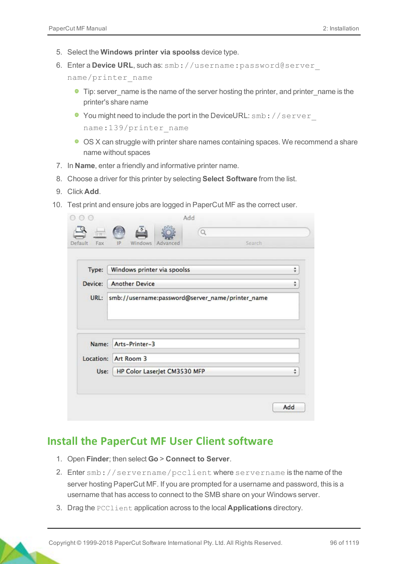- 5. Select the **Windows printer via spoolss** device type.
- 6. Enter a **Device URL**, such as: smb://username:password@server\_

name/printer\_name

- **Tip: server** name is the name of the server hosting the printer, and printer name is the printer's share name
- You might need to include the port in the DeviceURL: smb://server name:139/printer\_name
- OS X can struggle with printer share names containing spaces. We recommend a share name without spaces
- 7. In **Name**, enter a friendly and informative printer name.
- 8. Choose a driver for this printer by selecting **Select Software** from the list.
- 9. Click **Add**.
- 10. Test print and ensure jobs are logged in PaperCut MF as the correct user.

| Type:     | Windows printer via spoolss                      | ÷ |
|-----------|--------------------------------------------------|---|
| Device:   | <b>Another Device</b>                            | ÷ |
| URL:      | smb://username:password@server_name/printer_name |   |
| Name:     | Arts-Printer-3                                   |   |
| Location: | Art Room 3                                       |   |

#### **Install the PaperCut MF User Client software**

- 1. Open **Finder**; then select **Go** > **Connect to Server**.
- 2. Enter smb://servername/pcclient where servername is the name of the server hosting PaperCut MF. If you are prompted for a username and password, this is a username that has access to connect to the SMB share on your Windows server.
- 3. Drag the PCClient application across to the local **Applications** directory.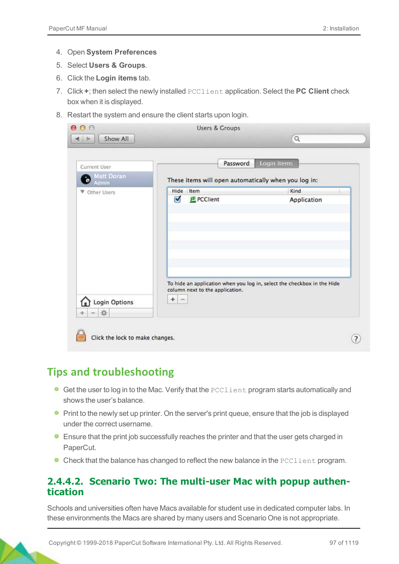- 4. Open **System Preferences**
- 5. Select **Users & Groups**.
- 6. Click the **Login items** tab.
- 7. Click **+**; then select the newly installed PCClient application. Select the **PC Client** check box when it is displayed.
- 8. Restart the system and ensure the client starts upon login.

| Current User<br><b>Matt Doran</b><br>$\ddot{\bullet}$<br>Admin | Password<br>These items will open automatically when you log in:                                                | Login Items         |
|----------------------------------------------------------------|-----------------------------------------------------------------------------------------------------------------|---------------------|
| ▼ Other Users                                                  | Hide<br>Item<br>Ø<br>PCClient                                                                                   | Kind<br>Application |
| <b>Login Options</b><br>焱                                      | To hide an application when you log in, select the checkbox in the Hide<br>column next to the application.<br>÷ |                     |

## **Tips and troubleshooting**

- **Get the user to log in to the Mac. Verify that the PCClient program starts automatically and** shows the user's balance.
- **Print to the newly set up printer. On the server's print queue, ensure that the job is displayed** under the correct username.
- **Ensure that the print job successfully reaches the printer and that the user gets charged in** PaperCut.
- Check that the balance has changed to reflect the new balance in the PCClient program.

#### **2.4.4.2. Scenario Two: The multi-user Mac with popup authentication**

Schools and universities often have Macs available for student use in dedicated computer labs. In these environments the Macs are shared by many users and Scenario One is not appropriate.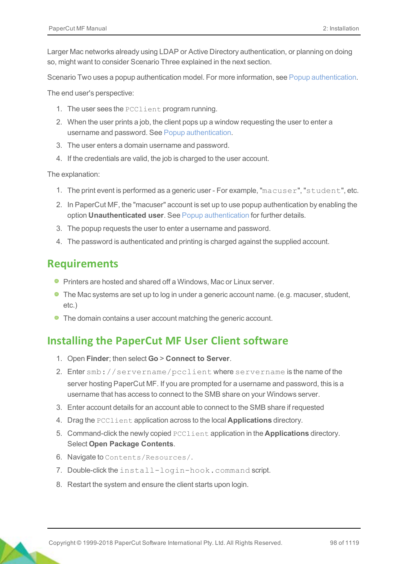Larger Mac networks already using LDAP or Active Directory authentication, or planning on doing so, might want to consider Scenario Three explained in the next section.

Scenario Two uses a popup authentication model. For more information, see Popup authentication.

The end user's perspective:

- 1. The user sees the PCClient program running.
- 2. When the user prints a job, the client pops up a window requesting the user to enter a username and password. See Popup authentication.
- 3. The user enters a domain username and password.
- 4. If the credentials are valid, the job is charged to the user account.

The explanation:

- 1. The print event is performed as a generic user For example, "macuser", "student", etc.
- 2. In PaperCut MF, the "macuser" account is set up to use popup authentication by enabling the option **Unauthenticated user**. See Popup authentication for further details.
- 3. The popup requests the user to enter a username and password.
- 4. The password is authenticated and printing is charged against the supplied account.

### **Requirements**

- **Printers are hosted and shared off a Windows, Mac or Linux server.**
- **The Mac systems are set up to log in under a generic account name. (e.g. macuser, student,** etc.)
- The domain contains a user account matching the generic account.

## **Installing the PaperCut MF User Client software**

- 1. Open **Finder**; then select **Go** > **Connect to Server**.
- 2. Enter smb://servername/pcclient where servername is the name of the server hosting PaperCut MF. If you are prompted for a username and password, this is a username that has access to connect to the SMB share on your Windows server.
- 3. Enter account details for an account able to connect to the SMB share if requested
- 4. Drag the PCClient application across to the local **Applications** directory.
- 5. Command-click the newly copied PCClient application in the **Applications** directory. Select **Open Package Contents**.
- 6. Navigate to Contents/Resources/.
- 7. Double-click the install-login-hook.command script.
- 8. Restart the system and ensure the client starts upon login.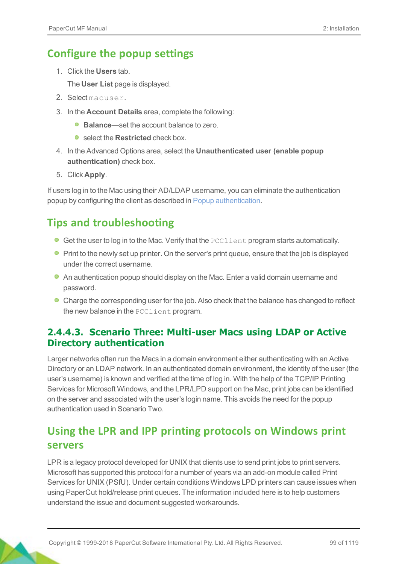## **Configure the popup settings**

1. Click the **Users** tab.

The **User List** page is displayed.

- 2. Select macuser.
- 3. In the **Account Details** area, complete the following:
	- **Balance**—set the account balance to zero.
	- **C** select the **Restricted** check box.
- 4. In the Advanced Options area, select the **Unauthenticated user (enable popup authentication)** check box.
- 5. Click **Apply**.

If users log in to the Mac using their AD/LDAP username, you can eliminate the authentication popup by configuring the client as described in Popup authentication.

## **Tips and troubleshooting**

- **Get the user to log in to the Mac. Verify that the PCClient program starts automatically.**
- **Print to the newly set up printer. On the server's print queue, ensure that the job is displayed** under the correct username.
- An authentication popup should display on the Mac. Enter a valid domain username and password.
- Charge the corresponding user for the job. Also check that the balance has changed to reflect the new balance in the PCClient program.

#### **2.4.4.3. Scenario Three: Multi-user Macs using LDAP or Active Directory authentication**

Larger networks often run the Macs in a domain environment either authenticating with an Active Directory or an LDAP network. In an authenticated domain environment, the identity of the user (the user's username) is known and verified at the time of log in. With the help of the TCP/IP Printing Services for Microsoft Windows, and the LPR/LPD support on the Mac, print jobs can be identified on the server and associated with the user's login name. This avoids the need for the popup authentication used in Scenario Two.

## **Using the LPR and IPP printing protocols on Windows print servers**

LPR is a legacy protocol developed for UNIX that clients use to send print jobs to print servers. Microsoft has supported this protocol for a number of years via an add-on module called Print Services for UNIX (PSfU). Under certain conditions Windows LPD printers can cause issues when using PaperCut hold/release print queues. The information included here is to help customers understand the issue and document suggested workarounds.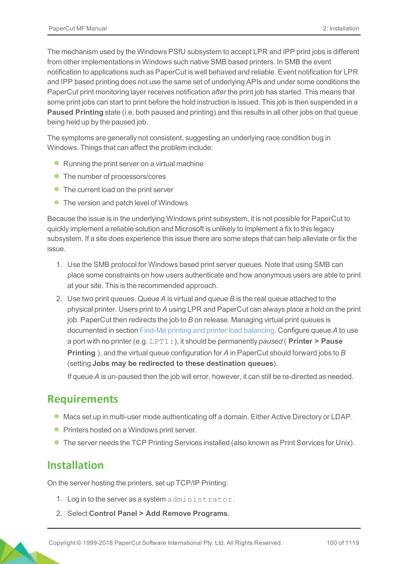The mechanism used by the Windows PSfU subsystem to accept LPR and IPP print jobs is different from other implementations in Windows such native SMB based printers. In SMB the event notification to applications such as PaperCut is well behaved and reliable. Event notification for LPR and IPP based printing does not use the same set of underlying APIs and under some conditions the PaperCut print monitoring layer receives notification *after* the print job has started. This means that some print jobs can start to print before the hold instruction is issued. This job is then suspended in a **Paused Printing** state (i.e. both paused and printing) and this results in all other jobs on that queue being held up by the paused job.

The symptoms are generally not consistent, suggesting an underlying race condition bug in Windows. Things that can affect the problem include:

- Running the print server on a virtual machine
- The number of processors/cores
- The current load on the print server
- The version and patch level of Windows

Because the issue is in the underlying Windows print subsystem, it is not possible for PaperCut to quickly implement a reliable solution and Microsoft is unlikely to implement a fix to this legacy subsystem. If a site does experience this issue there are some steps that can help alleviate or fix the issue.

- 1. Use the SMB protocol for Windows based print server queues. Note that using SMB can place some constraints on how users authenticate and how anonymous users are able to print at your site. This is the recommended approach.
- 2. Use two print queues. Queue *A* is virtual and queue *B* is the real queue attached to the physical printer. Users print to *A* using LPR and PaperCut can always place a hold on the print job. PaperCut then redirects the job to *B* on release. Managing virtual print queues is documented in section Find-Me printing and printer load balancing. Configure queue *A* to use a port with no printer (e.g. LPT1:), it should be permanently *paused* ( **Printer > Pause Printing** ), and the virtual queue configuration for *A* in PaperCut should forward jobs to *B* (setting **Jobs may be redirected to these destination queues**).

If queue *A* is un-paused then the job will error, however, it can still be re-directed as needed.

#### **Requirements**

- **Macs set up in multi-user mode authenticating off a domain. Either Active Directory or LDAP.**
- **Printers hosted on a Windows print server.**
- **The server needs the TCP Printing Services installed (also known as Print Services for Unix).**

#### **Installation**

On the server hosting the printers, set up TCP/IP Printing:

- 1. Log in to the server as a system administrator.
- 2. Select **Control Panel > Add Remove Programs**.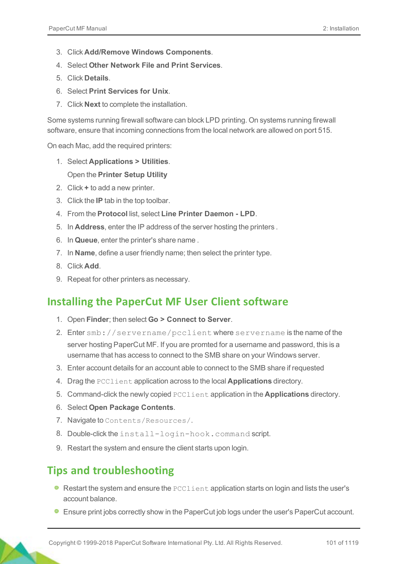- 3. Click **Add/Remove Windows Components**.
- 4. Select **Other Network File and Print Services**.
- 5. Click **Details**.
- 6. Select **Print Services for Unix**.
- 7. Click **Next** to complete the installation.

Some systems running firewall software can block LPD printing. On systems running firewall software, ensure that incoming connections from the local network are allowed on port 515.

On each Mac, add the required printers:

1. Select **Applications > Utilities**.

#### Open the **Printer Setup Utility**

- 2. Click **+** to add a new printer.
- 3. Click the **IP** tab in the top toolbar.
- 4. From the **Protocol** list, select **Line Printer Daemon LPD**.
- 5. In **Address**, enter the IP address of the server hosting the printers .
- 6. In **Queue**, enter the printer's share name .
- 7. In **Name**, define a user friendly name; then select the printer type.
- 8. Click **Add**.
- 9. Repeat for other printers as necessary.

### **Installing the PaperCut MF User Client software**

- 1. Open **Finder**; then select **Go > Connect to Server**.
- 2. Enter smb://servername/pcclient where servername is the name of the server hosting PaperCut MF. If you are promted for a username and password, this is a username that has access to connect to the SMB share on your Windows server.
- 3. Enter account details for an account able to connect to the SMB share if requested
- 4. Drag the PCClient application across to the local **Applications** directory.
- 5. Command-click the newly copied PCClient application in the **Applications** directory.
- 6. Select **Open Package Contents**.
- 7. Navigate to Contents/Resources/.
- 8. Double-click the install-login-hook.command script.
- 9. Restart the system and ensure the client starts upon login.

## **Tips and troubleshooting**

- $\bullet$  Restart the system and ensure the  $pccilient$  application starts on login and lists the user's account balance.
- **Ensure print jobs correctly show in the PaperCut job logs under the user's PaperCut account.**